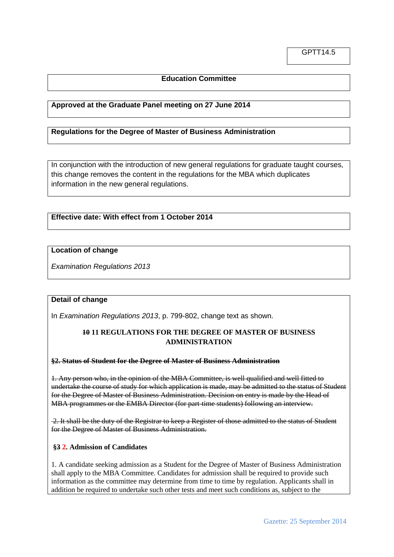# **Education Committee**

# **Approved at the Graduate Panel meeting on 27 June 2014**

## **Regulations for the Degree of Master of Business Administration**

In conjunction with the introduction of new general regulations for graduate taught courses, this change removes the content in the regulations for the MBA which duplicates information in the new general regulations.

# **Effective date: With effect from 1 October 2014**

### **Location of change**

*Examination Regulations 2013*

### **Detail of change**

In *Examination Regulations 2013*, p. 799-802, change text as shown.

## **10 11 REGULATIONS FOR THE DEGREE OF MASTER OF BUSINESS ADMINISTRATION**

# **§2. Status of Student for the Degree of Master of Business Administration**

1. Any person who, in the opinion of the MBA Committee, is well qualified and well fitted to undertake the course of study for which application is made, may be admitted to the status of Student for the Degree of Master of Business Administration. Decision on entry is made by the Head of MBA programmes or the EMBA Director (for part-time students) following an interview.

2. It shall be the duty of the Registrar to keep a Register of those admitted to the status of Student for the Degree of Master of Business Administration.

### **§3 2. Admission of Candidates**

1. A candidate seeking admission as a Student for the Degree of Master of Business Administration shall apply to the MBA Committee. Candidates for admission shall be required to provide such information as the committee may determine from time to time by regulation. Applicants shall in addition be required to undertake such other tests and meet such conditions as, subject to the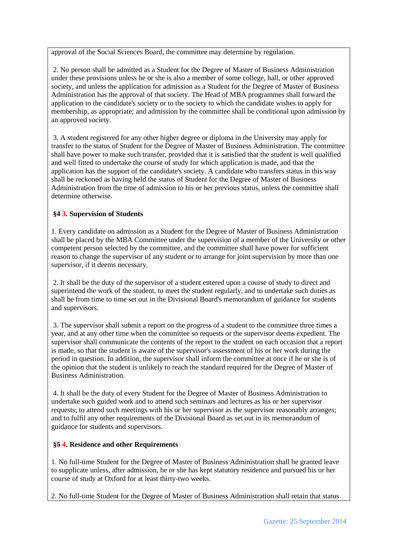approval of the Social Sciences Board, the committee may determine by regulation.

2. No person shall be admitted as a Student for the Degree of Master of Business Administration under these provisions unless he or she is also a member of some college, hall, or other approved society, and unless the application for admission as a Student for the Degree of Master of Business Administration has the approval of that society. The Head of MBA programmes shall forward the application to the candidate's society or to the society to which the candidate wishes to apply for membership, as appropriate; and admission by the committee shall be conditional upon admission by an approved society.

3. A student registered for any other higher degree or diploma in the University may apply for transfer to the status of Student for the Degree of Master of Business Administration. The committee shall have power to make such transfer, provided that it is satisfied that the student is well qualified and well fitted to undertake the course of study for which application is made, and that the application has the support of the candidate's society. A candidate who transfers status in this way shall be reckoned as having held the status of Student for the Degree of Master of Business Administration from the time of admission to his or her previous status, unless the committee shall determine otherwise.

# **§4 3. Supervision of Students**

1. Every candidate on admission as a Student for the Degree of Master of Business Administration shall be placed by the MBA Committee under the supervision of a member of the University or other competent person selected by the committee, and the committee shall have power for sufficient reason to change the supervisor of any student or to arrange for joint supervision by more than one supervisor, if it deems necessary.

2. It shall be the duty of the supervisor of a student entered upon a course of study to direct and superintend the work of the student, to meet the student regularly, and to undertake such duties as shall be from time to time set out in the Divisional Board's memorandum of guidance for students and supervisors.

3. The supervisor shall submit a report on the progress of a student to the committee three times a year, and at any other time when the committee so requests or the supervisor deems expedient. The supervisor shall communicate the contents of the report to the student on each occasion that a report is made, so that the student is aware of the supervisor's assessment of his or her work during the period in question. In addition, the supervisor shall inform the committee at once if he or she is of the opinion that the student is unlikely to reach the standard required for the Degree of Master of Business Administration.

4. It shall be the duty of every Student for the Degree of Master of Business Administration to undertake such guided work and to attend such seminars and lectures as his or her supervisor requests; to attend such meetings with his or her supervisor as the supervisor reasonably arranges; and to fulfil any other requirements of the Divisional Board as set out in its memorandum of guidance for students and supervisors.

# **§5 4. Residence and other Requirements**

1. No full-time Student for the Degree of Master of Business Administration shall be granted leave to supplicate unless, after admission, he or she has kept statutory residence and pursued his or her course of study at Oxford for at least thirty-two weeks.

2. No full-time Student for the Degree of Master of Business Administration shall retain that status